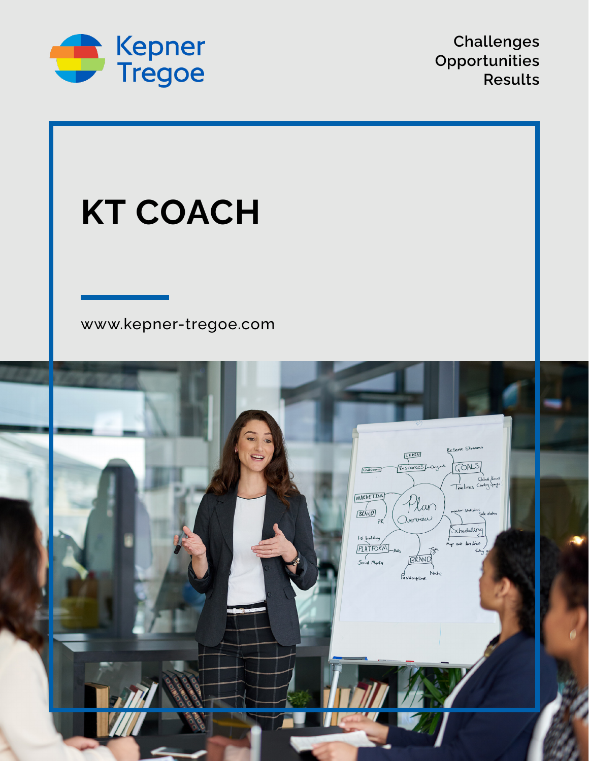

**Challenges Opportunities Results**

# **KT COACH**

## [www.kepner-tregoe.com](http://www.kepner-tregoe.com)

| C.<br>$\mathbf{0}$ , $\mathbf{0}$<br>Reserve Streams<br>LEATH<br>GOALS<br>Resources original<br>Outsource<br>(libra /loros)<br>Timelines Country Spails                                                              |  |
|----------------------------------------------------------------------------------------------------------------------------------------------------------------------------------------------------------------------|--|
| MARKETING<br>Plan<br>onitor Statistics<br>Sale dides<br>BRAND<br>PR<br>Schedulerg<br>Isst building<br>PLATFORM<br>Social Media<br>Social Media<br>Map out time lines<br>6b4<br>BRAND<br>Passionfline<br>Passionfline |  |
|                                                                                                                                                                                                                      |  |